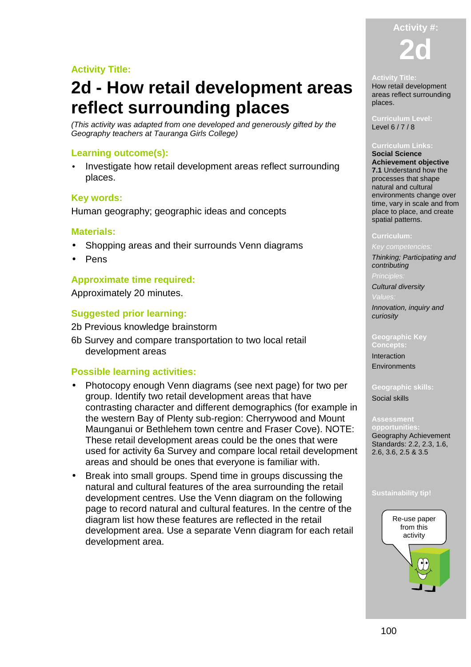# **Activity Title:**

# **2d - How retail development areas reflect surrounding places**

(This activity was adapted from one developed and generously gifted by the Geography teachers at Tauranga Girls College)

# **Learning outcome(s):**

• Investigate how retail development areas reflect surrounding places.

# **Key words:**

Human geography; geographic ideas and concepts

## **Materials:**

- Shopping areas and their surrounds Venn diagrams
- Pens

# **Approximate time required:**

Approximately 20 minutes.

# **Suggested prior learning:**

- 2b Previous knowledge brainstorm
- 6b Survey and compare transportation to two local retail development areas

# **Possible learning activities:**

- Photocopy enough Venn diagrams (see next page) for two per group. Identify two retail development areas that have contrasting character and different demographics (for example in the western Bay of Plenty sub-region: Cherrywood and Mount Maunganui or Bethlehem town centre and Fraser Cove). NOTE: These retail development areas could be the ones that were used for activity 6a Survey and compare local retail development areas and should be ones that everyone is familiar with.
- Break into small groups. Spend time in groups discussing the natural and cultural features of the area surrounding the retail development centres. Use the Venn diagram on the following page to record natural and cultural features. In the centre of the diagram list how these features are reflected in the retail development area. Use a separate Venn diagram for each retail development area.

# **Activity #: 2d**

#### **Activity Title:**

How retail development areas reflect surrounding places.

#### **Curriculum Level:**  Level 6 / 7 / 8

### **Curriculum Links:**

**Social Science Achievement objective 7.1** Understand how the processes that shape natural and cultural environments change over time, vary in scale and from place to place, and create spatial patterns.

Key competencies: Thinking; Participating and

contributing

Cultural diversity

Innovation, inquiry and curiosity

#### **Geographic Key Concepts:**

Interaction **Environments** 

**Geographic skills:**  Social skills

**pportunit** Geography Achievement Standards: 2.2, 2.3, 1.6, 2.6, 3.6, 2.5 & 3.5

### **Sustainability tip!**